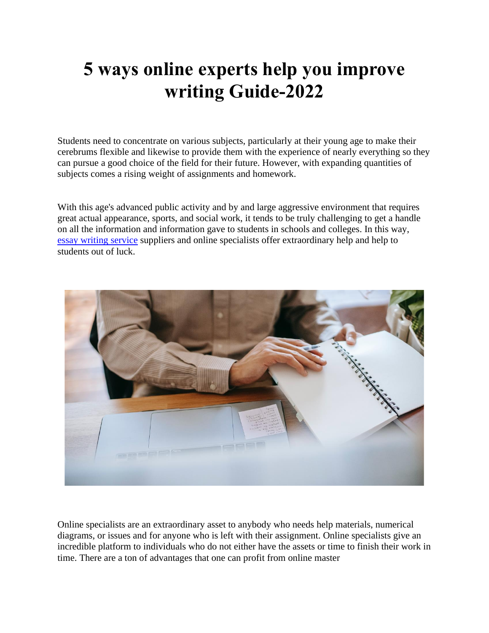## **5 ways online experts help you improve writing Guide-2022**

Students need to concentrate on various subjects, particularly at their young age to make their cerebrums flexible and likewise to provide them with the experience of nearly everything so they can pursue a good choice of the field for their future. However, with expanding quantities of subjects comes a rising weight of assignments and homework.

With this age's advanced public activity and by and large aggressive environment that requires great actual appearance, sports, and social work, it tends to be truly challenging to get a handle on all the information and information gave to students in schools and colleges. In this way, [essay writing service](https://writemyessayfast.net/essay-writing-service) suppliers and online specialists offer extraordinary help and help to students out of luck.



Online specialists are an extraordinary asset to anybody who needs help materials, numerical diagrams, or issues and for anyone who is left with their assignment. Online specialists give an incredible platform to individuals who do not either have the assets or time to finish their work in time. There are a ton of advantages that one can profit from online master